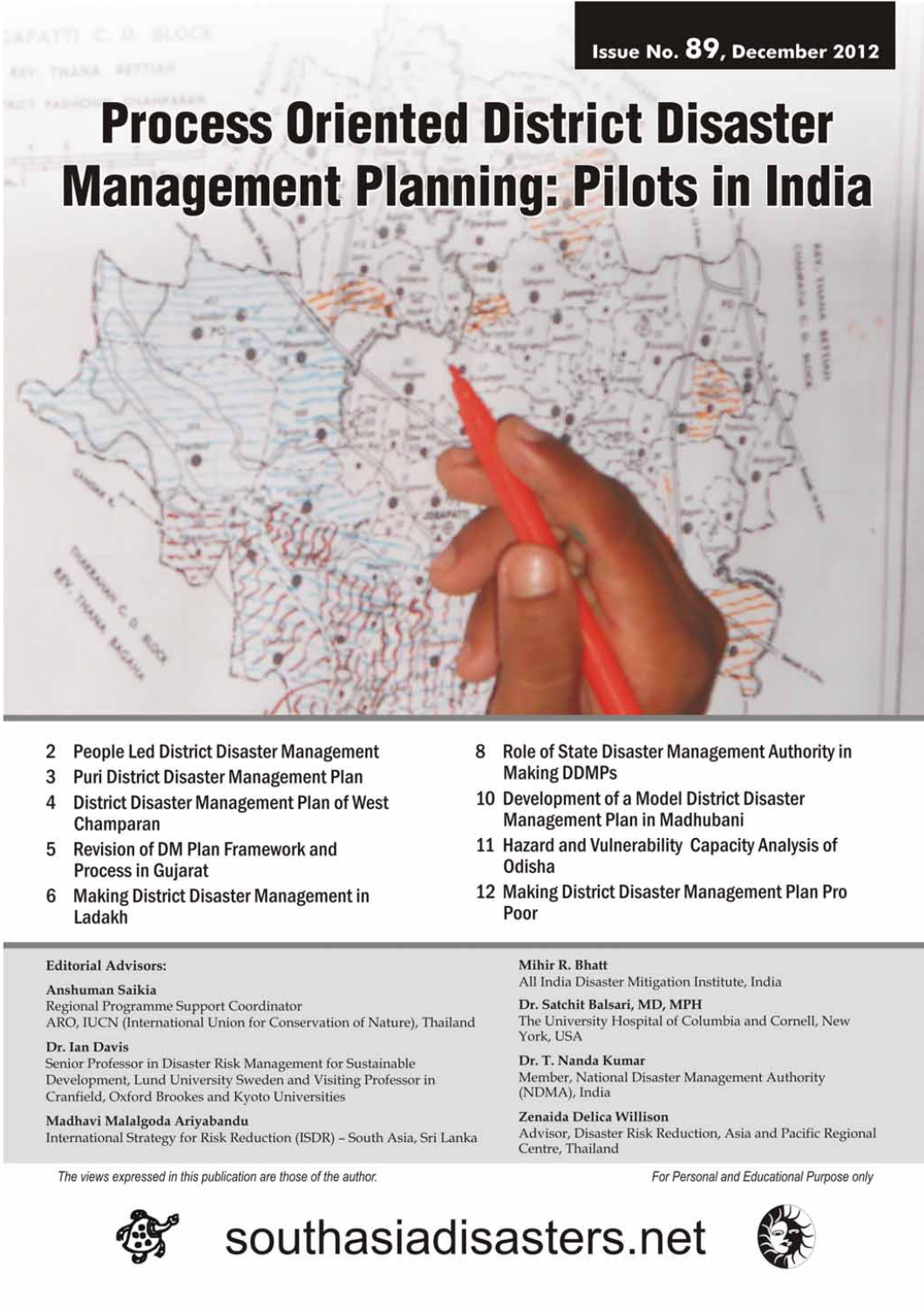### Issue No. 89, December 2012

# **Process Oriented District Disaster Management Planning: Pilots in India**

2 People Led District Disaster Management

- 3 **Puri District Disaster Management Plan**
- 4 **District Disaster Management Plan of West** Champaran
- **Revision of DM Plan Framework and** 5 **Process in Gujarat**
- **Making District Disaster Management in** 6 Ladakh

### **Editorial Advisors:**

#### Anshuman Saikia

Regional Programme Support Coordinator ARO, IUCN (International Union for Conservation of Nature), Thailand

#### Dr. Ian Davis

Senior Professor in Disaster Risk Management for Sustainable Development, Lund University Sweden and Visiting Professor in Cranfield, Oxford Brookes and Kyoto Universities

Madhavi Malalgoda Ariyabandu International Strategy for Risk Reduction (ISDR) - South Asia, Sri Lanka

The views expressed in this publication are those of the author.



- 8 Role of State Disaster Management Authority in **Making DDMPs**
- 10 Development of a Model District Disaster Management Plan in Madhubani
- 11 Hazard and Vulnerability Capacity Analysis of Odisha
- 12 Making District Disaster Management Plan Pro Poor

Mihir R. Bhatt

southasiadisasters.net

All India Disaster Mitigation Institute, India

Dr. Satchit Balsari, MD, MPH The University Hospital of Columbia and Cornell, New York, USA

Dr. T. Nanda Kumar Member, National Disaster Management Authority (NDMA), India

Zenaida Delica Willison Advisor, Disaster Risk Reduction, Asia and Pacific Regional Centre, Thailand

For Personal and Educational Purpose only

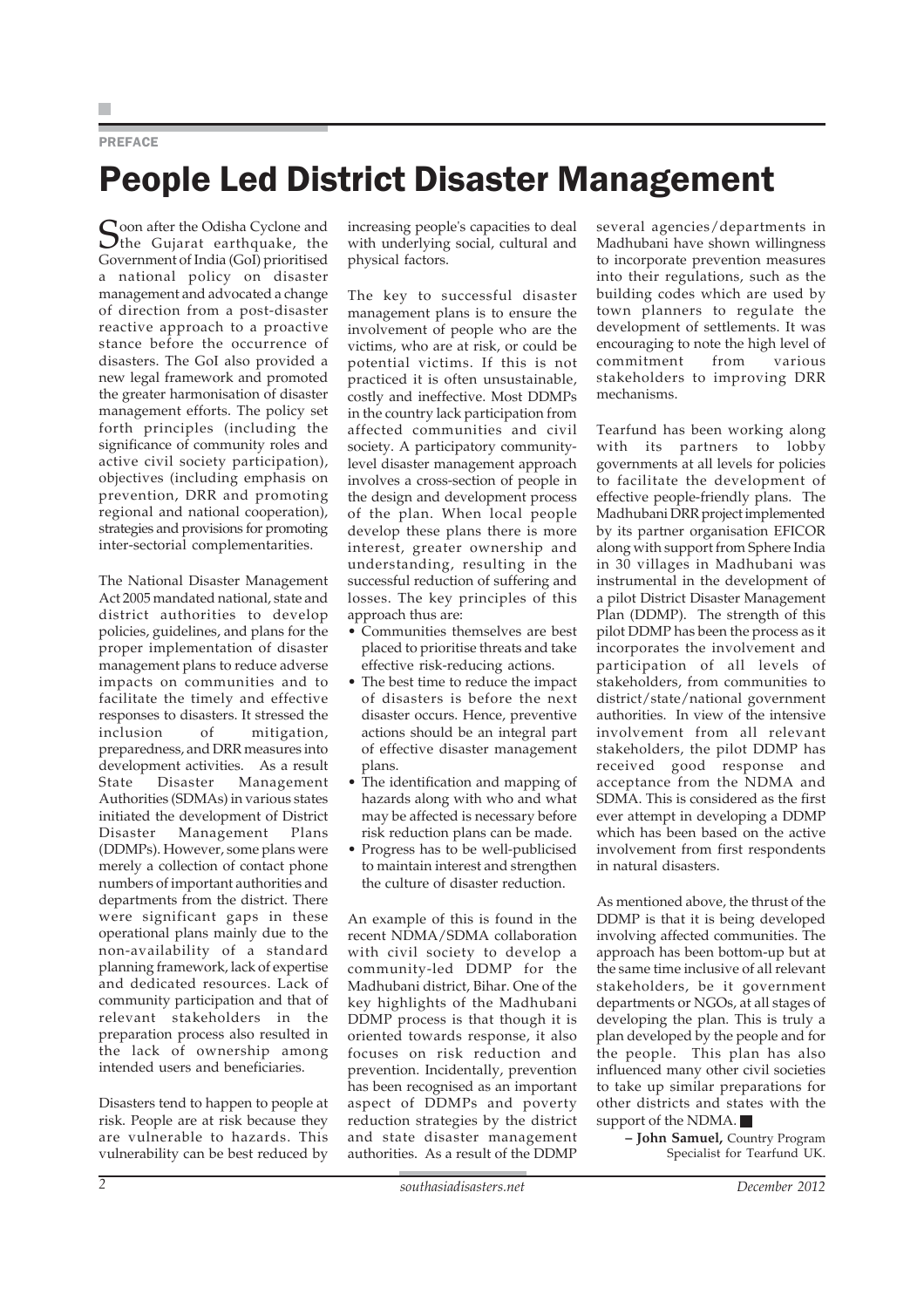#### PREFACE

### People Led District Disaster Management

Soon after the Odisha Cyclone and<br>the Gujarat earthquake, the Government of India (GoI) prioritised a national policy on disaster management and advocated a change of direction from a post-disaster reactive approach to a proactive stance before the occurrence of disasters. The GoI also provided a new legal framework and promoted the greater harmonisation of disaster management efforts. The policy set forth principles (including the significance of community roles and active civil society participation), objectives (including emphasis on prevention, DRR and promoting regional and national cooperation), strategies and provisions for promoting inter-sectorial complementarities.

The National Disaster Management Act 2005 mandated national, state and district authorities to develop policies, guidelines, and plans for the proper implementation of disaster management plans to reduce adverse impacts on communities and to facilitate the timely and effective responses to disasters. It stressed the inclusion of mitigation, preparedness, and DRR measures into development activities. As a result State Disaster Management Authorities (SDMAs) in various states initiated the development of District Disaster Management Plans (DDMPs). However, some plans were merely a collection of contact phone numbers of important authorities and departments from the district. There were significant gaps in these operational plans mainly due to the non-availability of a standard planning framework, lack of expertise and dedicated resources. Lack of community participation and that of relevant stakeholders in the preparation process also resulted in the lack of ownership among intended users and beneficiaries.

Disasters tend to happen to people at risk. People are at risk because they are vulnerable to hazards. This vulnerability can be best reduced by increasing people's capacities to deal with underlying social, cultural and physical factors.

The key to successful disaster management plans is to ensure the involvement of people who are the victims, who are at risk, or could be potential victims. If this is not practiced it is often unsustainable, costly and ineffective. Most DDMPs in the country lack participation from affected communities and civil society. A participatory communitylevel disaster management approach involves a cross-section of people in the design and development process of the plan. When local people develop these plans there is more interest, greater ownership and understanding, resulting in the successful reduction of suffering and losses. The key principles of this approach thus are:

- Communities themselves are best placed to prioritise threats and take effective risk-reducing actions.
- The best time to reduce the impact of disasters is before the next disaster occurs. Hence, preventive actions should be an integral part of effective disaster management plans.
- The identification and mapping of hazards along with who and what may be affected is necessary before risk reduction plans can be made.
- Progress has to be well-publicised to maintain interest and strengthen the culture of disaster reduction.

An example of this is found in the recent NDMA/SDMA collaboration with civil society to develop a community-led DDMP for the Madhubani district, Bihar. One of the key highlights of the Madhubani DDMP process is that though it is oriented towards response, it also focuses on risk reduction and prevention. Incidentally, prevention has been recognised as an important aspect of DDMPs and poverty reduction strategies by the district and state disaster management authorities. As a result of the DDMP

several agencies/departments in Madhubani have shown willingness to incorporate prevention measures into their regulations, such as the building codes which are used by town planners to regulate the development of settlements. It was encouraging to note the high level of commitment from various stakeholders to improving DRR mechanisms.

Tearfund has been working along with its partners to lobby governments at all levels for policies to facilitate the development of effective people-friendly plans. The Madhubani DRR project implemented by its partner organisation EFICOR along with support from Sphere India in 30 villages in Madhubani was instrumental in the development of a pilot District Disaster Management Plan (DDMP). The strength of this pilot DDMP has been the process as it incorporates the involvement and participation of all levels of stakeholders, from communities to district/state/national government authorities. In view of the intensive involvement from all relevant stakeholders, the pilot DDMP has received good response and acceptance from the NDMA and SDMA. This is considered as the first ever attempt in developing a DDMP which has been based on the active involvement from first respondents in natural disasters.

As mentioned above, the thrust of the DDMP is that it is being developed involving affected communities. The approach has been bottom-up but at the same time inclusive of all relevant stakeholders, be it government departments or NGOs, at all stages of developing the plan. This is truly a plan developed by the people and for the people. This plan has also influenced many other civil societies to take up similar preparations for other districts and states with the support of the NDMA.

> **– John Samuel,** Country Program Specialist for Tearfund UK.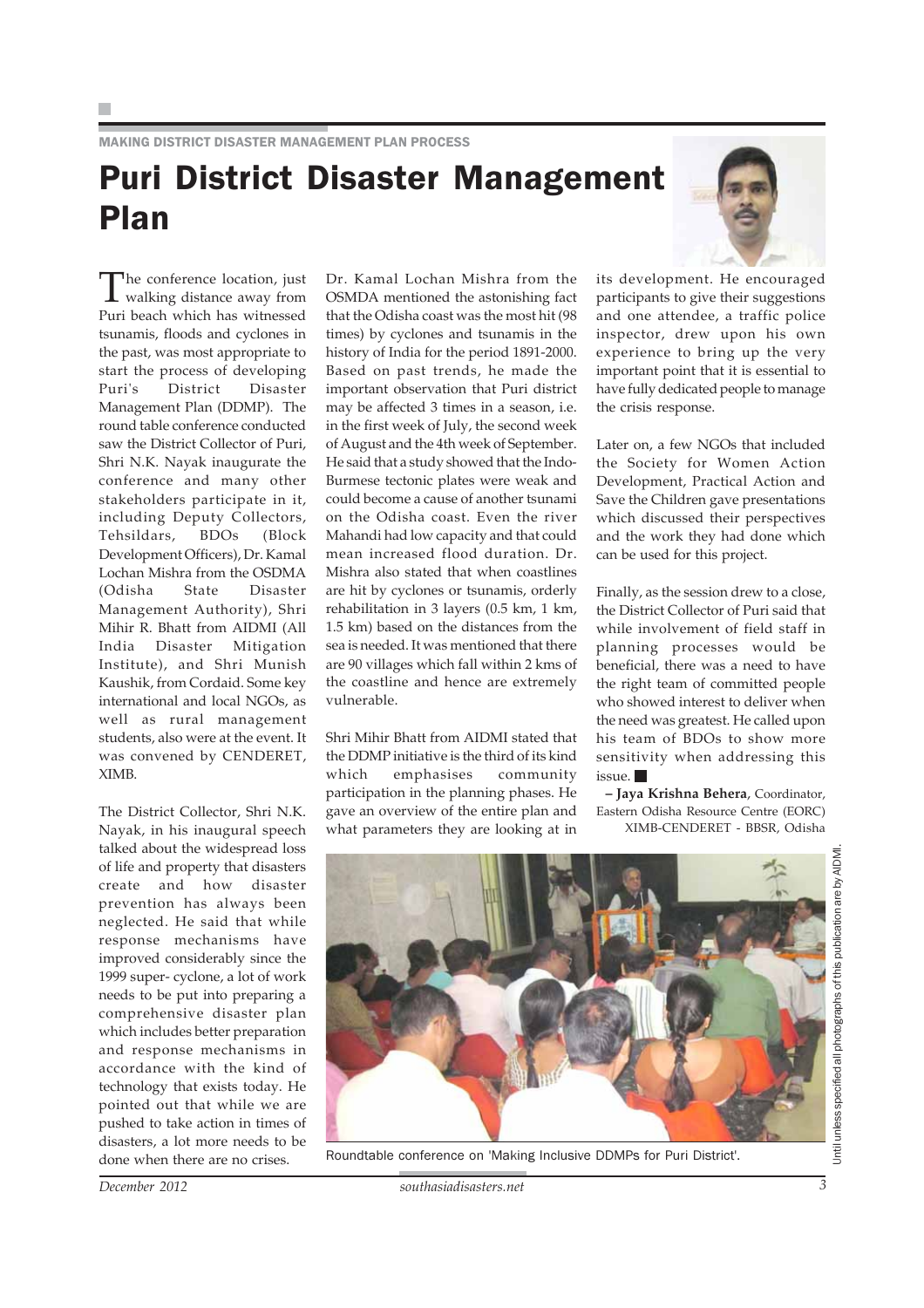MAKING DISTRICT DISASTER MANAGEMENT PLAN PROCESS

### Puri District Disaster Management Plan

The conference location, just<br>walking distance away from Puri beach which has witnessed tsunamis, floods and cyclones in the past, was most appropriate to start the process of developing Puri's District Disaster Management Plan (DDMP). The round table conference conducted saw the District Collector of Puri, Shri N.K. Nayak inaugurate the conference and many other stakeholders participate in it, including Deputy Collectors, Tehsildars, BDOs (Block Development Officers), Dr. Kamal Lochan Mishra from the OSDMA (Odisha State Disaster Management Authority), Shri Mihir R. Bhatt from AIDMI (All India Disaster Mitigation Institute), and Shri Munish Kaushik, from Cordaid. Some key international and local NGOs, as well as rural management students, also were at the event. It was convened by CENDERET, XIMB.

The District Collector, Shri N.K. Nayak, in his inaugural speech talked about the widespread loss of life and property that disasters create and how disaster prevention has always been neglected. He said that while response mechanisms have improved considerably since the 1999 super- cyclone, a lot of work needs to be put into preparing a comprehensive disaster plan which includes better preparation and response mechanisms in accordance with the kind of technology that exists today. He pointed out that while we are pushed to take action in times of disasters, a lot more needs to be done when there are no crises.

Dr. Kamal Lochan Mishra from the OSMDA mentioned the astonishing fact that the Odisha coast was the most hit (98 times) by cyclones and tsunamis in the history of India for the period 1891-2000. Based on past trends, he made the important observation that Puri district may be affected 3 times in a season, i.e. in the first week of July, the second week of August and the 4th week of September. He said that a study showed that the Indo-Burmese tectonic plates were weak and could become a cause of another tsunami on the Odisha coast. Even the river Mahandi had low capacity and that could mean increased flood duration. Dr. Mishra also stated that when coastlines are hit by cyclones or tsunamis, orderly rehabilitation in 3 layers (0.5 km, 1 km, 1.5 km) based on the distances from the sea is needed. It was mentioned that there are 90 villages which fall within 2 kms of the coastline and hence are extremely vulnerable.

Shri Mihir Bhatt from AIDMI stated that the DDMP initiative is the third of its kind which emphasises community participation in the planning phases. He gave an overview of the entire plan and what parameters they are looking at in



its development. He encouraged participants to give their suggestions and one attendee, a traffic police inspector, drew upon his own experience to bring up the very important point that it is essential to have fully dedicated people to manage the crisis response.

Later on, a few NGOs that included the Society for Women Action Development, Practical Action and Save the Children gave presentations which discussed their perspectives and the work they had done which can be used for this project.

Finally, as the session drew to a close, the District Collector of Puri said that while involvement of field staff in planning processes would be beneficial, there was a need to have the right team of committed people who showed interest to deliver when the need was greatest. He called upon his team of BDOs to show more sensitivity when addressing this issue.

**– Jaya Krishna Behera**, Coordinator, Eastern Odisha Resource Centre (EORC) XIMB-CENDERET - BBSR, Odisha



Until unless specified all photographs of this publication are by AIDMI.Jntil unless specified all photographs of this publication are by AIDM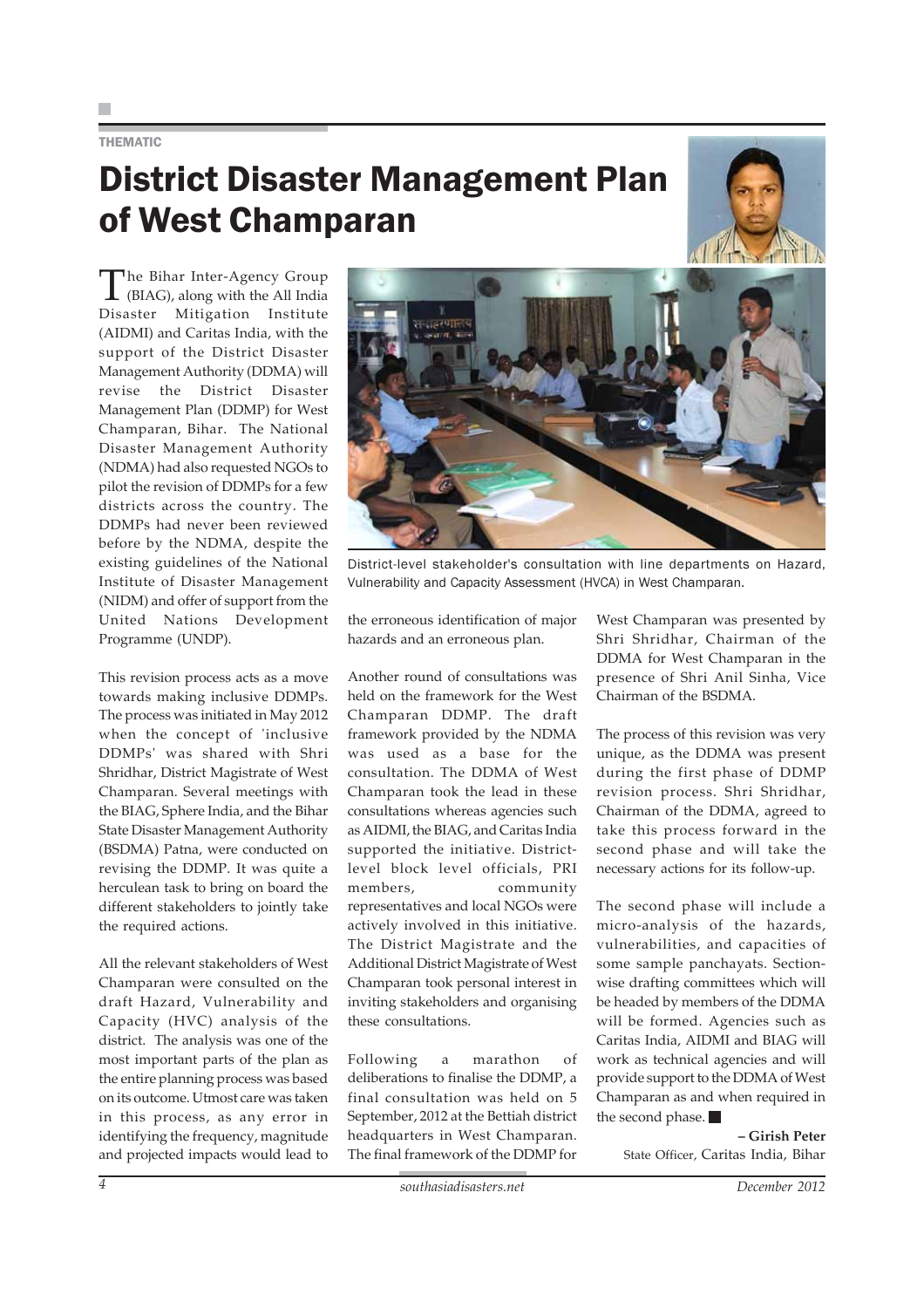#### THEMATIC

## District Disaster Management Plan of West Champaran



The Bihar Inter-Agency Group (BIAG), along with the All India Disaster Mitigation Institute (AIDMI) and Caritas India, with the support of the District Disaster Management Authority (DDMA) will revise the District Disaster Management Plan (DDMP) for West Champaran, Bihar. The National Disaster Management Authority (NDMA) had also requested NGOs to pilot the revision of DDMPs for a few districts across the country. The DDMPs had never been reviewed before by the NDMA, despite the existing guidelines of the National Institute of Disaster Management (NIDM) and offer of support from the United Nations Development Programme (UNDP).

This revision process acts as a move towards making inclusive DDMPs. The process was initiated in May 2012 when the concept of 'inclusive DDMPs' was shared with Shri Shridhar, District Magistrate of West Champaran. Several meetings with the BIAG, Sphere India, and the Bihar State Disaster Management Authority (BSDMA) Patna, were conducted on revising the DDMP. It was quite a herculean task to bring on board the different stakeholders to jointly take the required actions.

All the relevant stakeholders of West Champaran were consulted on the draft Hazard, Vulnerability and Capacity (HVC) analysis of the district. The analysis was one of the most important parts of the plan as the entire planning process was based on its outcome. Utmost care was taken in this process, as any error in identifying the frequency, magnitude and projected impacts would lead to



District-level stakeholder's consultation with line departments on Hazard, Vulnerability and Capacity Assessment (HVCA) in West Champaran.

the erroneous identification of major hazards and an erroneous plan.

Another round of consultations was held on the framework for the West Champaran DDMP. The draft framework provided by the NDMA was used as a base for the consultation. The DDMA of West Champaran took the lead in these consultations whereas agencies such as AIDMI, the BIAG, and Caritas India supported the initiative. Districtlevel block level officials, PRI members, community representatives and local NGOs were actively involved in this initiative. The District Magistrate and the Additional District Magistrate of West Champaran took personal interest in inviting stakeholders and organising these consultations.

Following a marathon of deliberations to finalise the DDMP, a final consultation was held on 5 September, 2012 at the Bettiah district headquarters in West Champaran. The final framework of the DDMP for

West Champaran was presented by Shri Shridhar, Chairman of the DDMA for West Champaran in the presence of Shri Anil Sinha, Vice Chairman of the BSDMA.

The process of this revision was very unique, as the DDMA was present during the first phase of DDMP revision process. Shri Shridhar, Chairman of the DDMA, agreed to take this process forward in the second phase and will take the necessary actions for its follow-up.

The second phase will include a micro-analysis of the hazards, vulnerabilities, and capacities of some sample panchayats. Sectionwise drafting committees which will be headed by members of the DDMA will be formed. Agencies such as Caritas India, AIDMI and BIAG will work as technical agencies and will provide support to the DDMA of West Champaran as and when required in the second phase.

> **– Girish Peter** State Officer, Caritas India, Bihar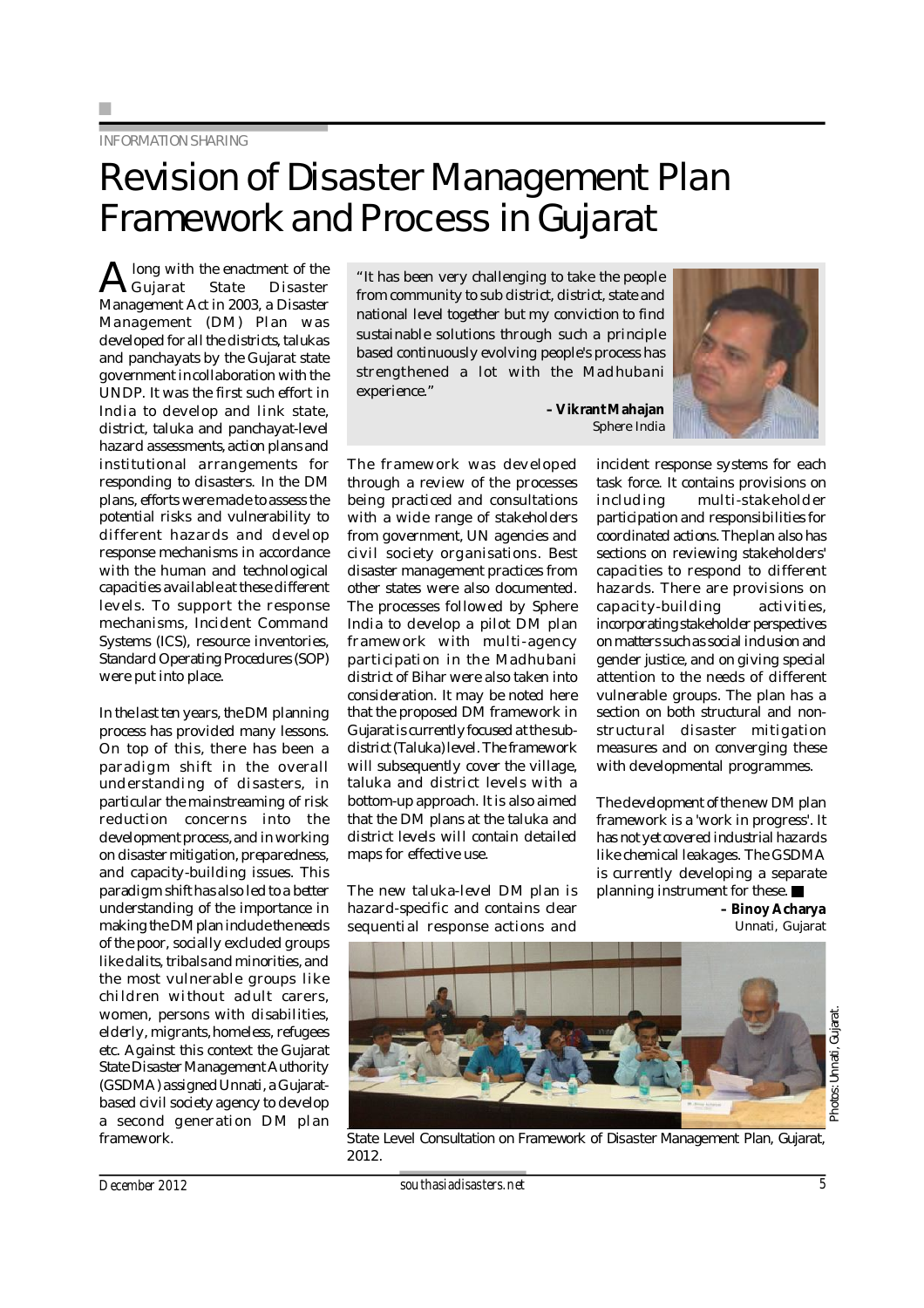### INFORMATION SHARING

## Revision of Disaster Management Plan Framework and Process in Gujarat

A long with the enactment of the<br>Gujarat State Disaster<br>Management Act in 2003, a Disaster long with the enactment of the Gujarat State Disaster Management (DM) Plan was developed for all the districts, talukas and panchayats by the Gujarat state government in collaboration with the UNDP. It was the first such effort in India to develop and link state, district, taluka and panchayat-level hazard assessments, action plans and institutional arrangements for responding to disasters. In the DM plans, efforts were made to assess the potential risks and vulnerability to different hazards and develop response mechanisms in accordance with the human and technological capacities available at these different levels. To support the response mechanisms, Incident Command Systems (ICS), resource inventories, Standard Operating Procedures (SOP) were put into place.

In the last ten years, the DM planning process has provided many lessons. On top of this, there has been a par adigm shift in the overall und erstanding of disasters, in particular the mainstreaming of risk reduction concerns into the development process, and in working on disaster mitigation, preparedness, and capacity-building issues. This paradigm shift has also led to a better understanding of the importance in making the DM plan include the needs of the poor, socially excluded groups like dalits, tribals and minorities, and the most vulnerable groups like chi ldren wi thout ad ult carers, women, persons with disabilities, elderly, migrants, homeless, refugees etc. Against this context the Gujarat State Disaster Management Authority (GSDMA) assigned Unnati, a Gujaratbased civil society agency to develop a second generation DM plan framework.

"It has been very challenging to take the people from community to sub district, district, state and national level together but my conviction to find sustainable solutions through such a principle based continuously evolving people's process has strengthened a lot with the Madhubani experience."

> **– Vikrant Mahajan** Sphere India

The framework was developed through a review of the processes being practiced and consultations with a wide range of stakeholders from government, UN agencies and civil society org anisations. Best disaster management practices from other states were also documented. The processes followed by Sphere India to develop a pilot DM plan fr amework with multi-agency participation in the Madhubani district of Bihar were also taken into consideration. It may be noted here that the proposed DM framework in Gujarat is currently focused at the subdistrict (Taluka) level. The framework will subsequently cover the village, taluka and district levels with a bottom-up approach. It is also aimed that the DM plans at the taluka and district levels will contain detailed maps for effective use.

The new taluka-level DM plan is hazard-specific and contains clear sequential response actions and



incident response systems for each task force. It contains provisions on including multi-stakeholder participation and responsibilities for coordinated actions. The plan also has sections on reviewing stakeholders' capacities to respond to different hazards. There are provisions on capacity-building activities, incorporating stakeholder perspectives on matters such as social inclusion and gender justice, and on giving special attention to the needs of different vulnerable groups. The plan has a section on both structural and nonstructural disaster mitigation measures and on converging these with developmental programmes.

The development of the new DM plan framework is a 'work in progress'. It has not yet covered industrial hazards like chemical leakages. The GSDMA is currently developing a separate planning instrument for these.

> **– Binoy Acharya** Unnati, Gujarat



Photos: Unnati, Gujarat. Photos: Unnati, Gujarat.

State Level Consultation on Framework of Disaster Management Plan, Gujarat, 2012.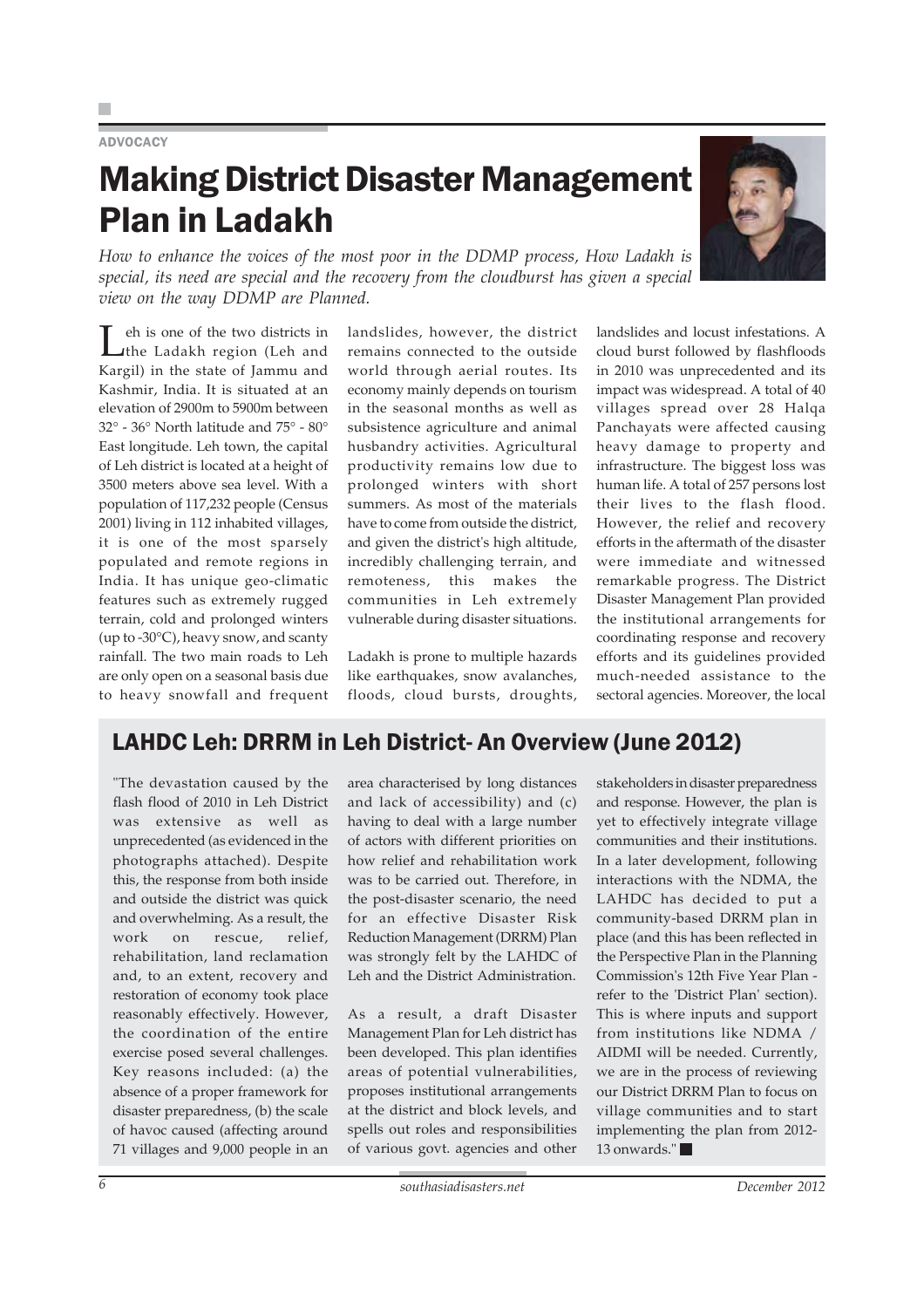### **ADVOCACY**

### Making District Disaster Management Plan in Ladakh

*How to enhance the voices of the most poor in the DDMP process, How Ladakh is special, its need are special and the recovery from the cloudburst has given a special view on the way DDMP are Planned.*

Leh is one of the two districts in the Ladakh region (Leh and Kargil) in the state of Jammu and Kashmir, India. It is situated at an elevation of 2900m to 5900m between 32° - 36° North latitude and 75° - 80° East longitude. Leh town, the capital of Leh district is located at a height of 3500 meters above sea level. With a population of 117,232 people (Census 2001) living in 112 inhabited villages, it is one of the most sparsely populated and remote regions in India. It has unique geo-climatic features such as extremely rugged terrain, cold and prolonged winters (up to -30°C), heavy snow, and scanty rainfall. The two main roads to Leh are only open on a seasonal basis due to heavy snowfall and frequent landslides, however, the district remains connected to the outside world through aerial routes. Its economy mainly depends on tourism in the seasonal months as well as subsistence agriculture and animal husbandry activities. Agricultural productivity remains low due to prolonged winters with short summers. As most of the materials have to come from outside the district, and given the district's high altitude, incredibly challenging terrain, and remoteness, this makes the communities in Leh extremely vulnerable during disaster situations.

Ladakh is prone to multiple hazards like earthquakes, snow avalanches, floods, cloud bursts, droughts, landslides and locust infestations. A cloud burst followed by flashfloods in 2010 was unprecedented and its impact was widespread. A total of 40 villages spread over 28 Halqa Panchayats were affected causing heavy damage to property and infrastructure. The biggest loss was human life. A total of 257 persons lost their lives to the flash flood. However, the relief and recovery efforts in the aftermath of the disaster were immediate and witnessed remarkable progress. The District Disaster Management Plan provided the institutional arrangements for

coordinating response and recovery efforts and its guidelines provided much-needed assistance to the sectoral agencies. Moreover, the local

### LAHDC Leh: DRRM in Leh District- An Overview (June 2012)

"The devastation caused by the flash flood of 2010 in Leh District was extensive as well as unprecedented (as evidenced in the photographs attached). Despite this, the response from both inside and outside the district was quick and overwhelming. As a result, the work on rescue, relief, rehabilitation, land reclamation and, to an extent, recovery and restoration of economy took place reasonably effectively. However, the coordination of the entire exercise posed several challenges. Key reasons included: (a) the absence of a proper framework for disaster preparedness, (b) the scale of havoc caused (affecting around 71 villages and 9,000 people in an

area characterised by long distances and lack of accessibility) and (c) having to deal with a large number of actors with different priorities on how relief and rehabilitation work was to be carried out. Therefore, in the post-disaster scenario, the need for an effective Disaster Risk Reduction Management (DRRM) Plan was strongly felt by the LAHDC of Leh and the District Administration.

As a result, a draft Disaster Management Plan for Leh district has been developed. This plan identifies areas of potential vulnerabilities, proposes institutional arrangements at the district and block levels, and spells out roles and responsibilities of various govt. agencies and other

stakeholders in disaster preparedness and response. However, the plan is yet to effectively integrate village communities and their institutions. In a later development, following interactions with the NDMA, the LAHDC has decided to put a community-based DRRM plan in place (and this has been reflected in the Perspective Plan in the Planning Commission's 12th Five Year Plan refer to the 'District Plan' section). This is where inputs and support from institutions like NDMA / AIDMI will be needed. Currently, we are in the process of reviewing our District DRRM Plan to focus on village communities and to start implementing the plan from 2012- 13 onwards."

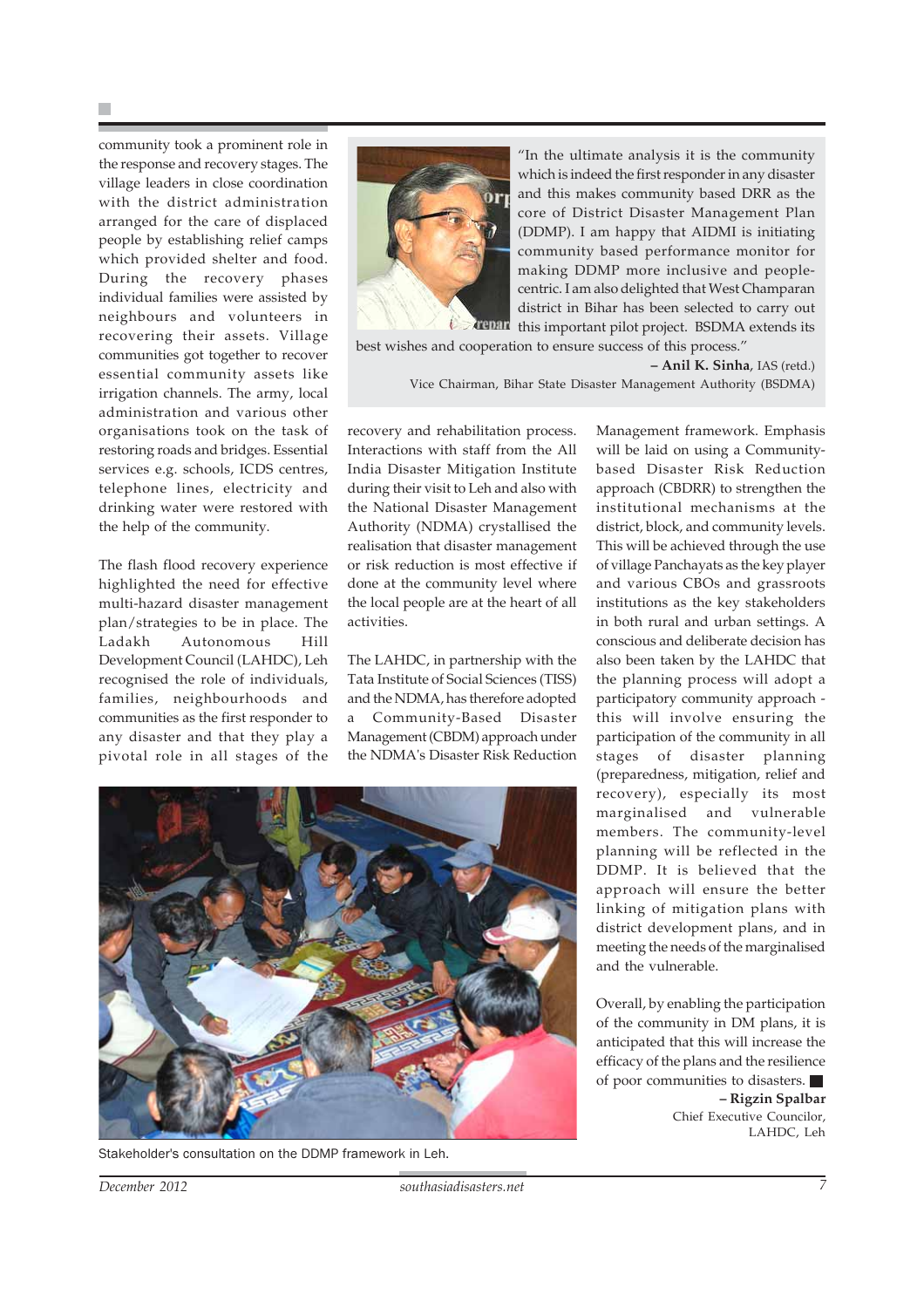community took a prominent role in the response and recovery stages. The village leaders in close coordination with the district administration arranged for the care of displaced people by establishing relief camps which provided shelter and food. During the recovery phases individual families were assisted by neighbours and volunteers in recovering their assets. Village communities got together to recover essential community assets like irrigation channels. The army, local administration and various other organisations took on the task of restoring roads and bridges. Essential services e.g. schools, ICDS centres, telephone lines, electricity and drinking water were restored with the help of the community.

The flash flood recovery experience highlighted the need for effective multi-hazard disaster management plan/strategies to be in place. The Ladakh Autonomous Hill Development Council (LAHDC), Leh recognised the role of individuals, families, neighbourhoods and communities as the first responder to any disaster and that they play a pivotal role in all stages of the



"In the ultimate analysis it is the community which is indeed the first responder in any disaster and this makes community based DRR as the core of District Disaster Management Plan (DDMP). I am happy that AIDMI is initiating community based performance monitor for making DDMP more inclusive and peoplecentric. I am also delighted that West Champaran district in Bihar has been selected to carry out  $t$   $\sim$   $t$  this important pilot project. BSDMA extends its

best wishes and cooperation to ensure success of this process."

**– Anil K. Sinha**, IAS (retd.)

Vice Chairman, Bihar State Disaster Management Authority (BSDMA)

recovery and rehabilitation process. Interactions with staff from the All India Disaster Mitigation Institute during their visit to Leh and also with the National Disaster Management Authority (NDMA) crystallised the realisation that disaster management or risk reduction is most effective if done at the community level where the local people are at the heart of all activities.

The LAHDC, in partnership with the Tata Institute of Social Sciences (TISS) and the NDMA, has therefore adopted a Community-Based Disaster Management (CBDM) approach under the NDMA's Disaster Risk Reduction



Stakeholder's consultation on the DDMP framework in Leh.

Management framework. Emphasis will be laid on using a Communitybased Disaster Risk Reduction approach (CBDRR) to strengthen the institutional mechanisms at the district, block, and community levels. This will be achieved through the use of village Panchayats as the key player and various CBOs and grassroots institutions as the key stakeholders in both rural and urban settings. A conscious and deliberate decision has also been taken by the LAHDC that the planning process will adopt a participatory community approach this will involve ensuring the participation of the community in all stages of disaster planning (preparedness, mitigation, relief and recovery), especially its most marginalised and vulnerable members. The community-level planning will be reflected in the DDMP. It is believed that the approach will ensure the better linking of mitigation plans with district development plans, and in meeting the needs of the marginalised and the vulnerable.

Overall, by enabling the participation of the community in DM plans, it is anticipated that this will increase the efficacy of the plans and the resilience of poor communities to disasters. **– Rigzin Spalbar** Chief Executive Councilor, LAHDC, Leh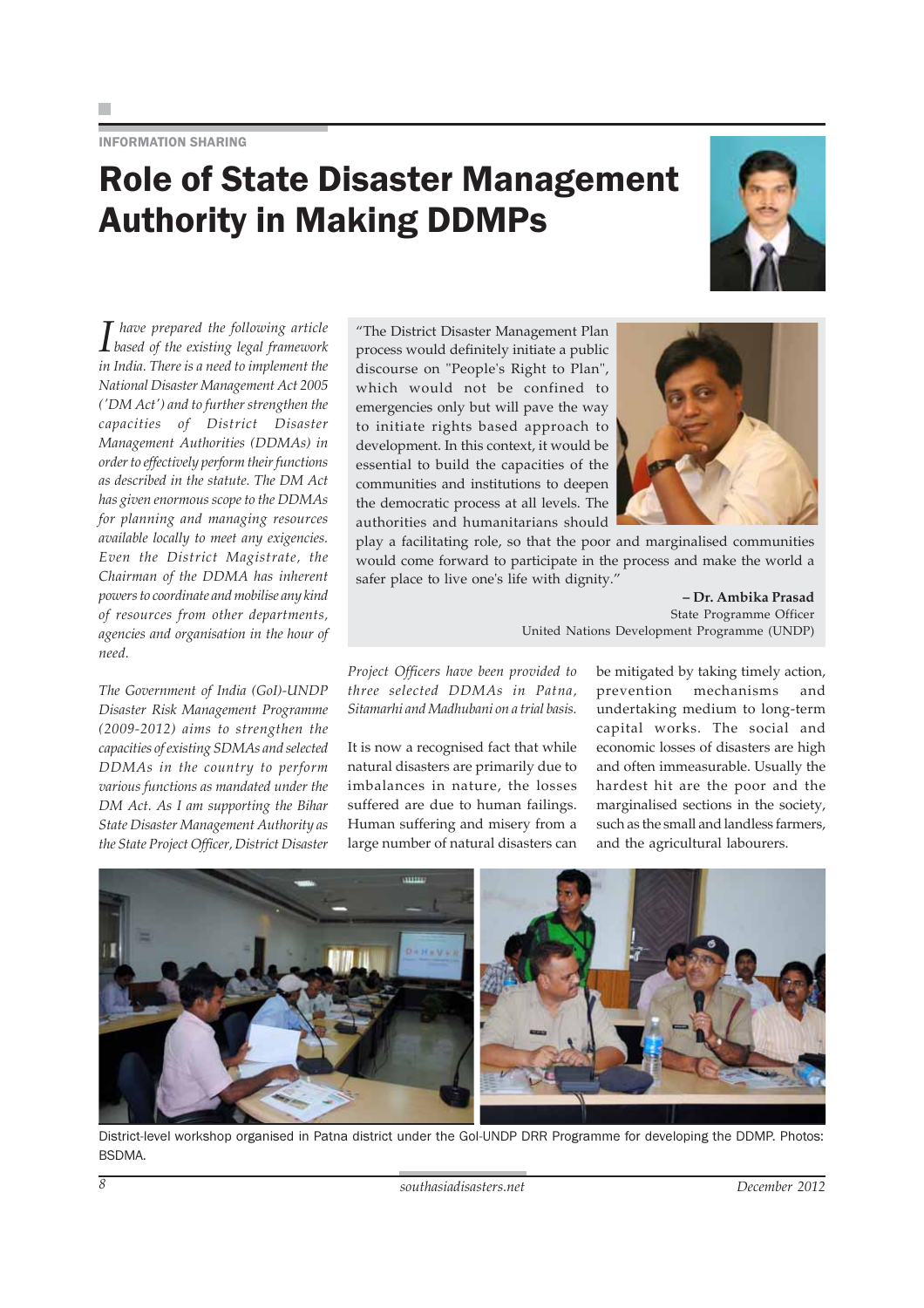INFORMATION SHARING

### Role of State Disaster Management Authority in Making DDMPs



*I based of the existing legal framework have prepared the following article in India. There is a need to implement the National Disaster Management Act 2005 ('DM Act') and to further strengthen the capacities of District Disaster Management Authorities (DDMAs) in order to effectively perform their functions as described in the statute. The DM Act has given enormous scope to the DDMAs for planning and managing resources available locally to meet any exigencies. Even the District Magistrate, the Chairman of the DDMA has inherent powers to coordinate and mobilise any kind of resources from other departments, agencies and organisation in the hour of need.*

*The Government of India (GoI)-UNDP Disaster Risk Management Programme (2009-2012) aims to strengthen the capacities of existing SDMAs and selected DDMAs in the country to perform various functions as mandated under the DM Act. As I am supporting the Bihar State Disaster Management Authority as the State Project Officer, District Disaster*

"The District Disaster Management Plan process would definitely initiate a public discourse on "People's Right to Plan", which would not be confined to emergencies only but will pave the way to initiate rights based approach to development. In this context, it would be essential to build the capacities of the communities and institutions to deepen the democratic process at all levels. The authorities and humanitarians should



play a facilitating role, so that the poor and marginalised communities would come forward to participate in the process and make the world a safer place to live one's life with dignity."

> **– Dr. Ambika Prasad** State Programme Officer United Nations Development Programme (UNDP)

*Project Officers have been provided to three selected DDMAs in Patna, Sitamarhi and Madhubani on a trial basis.*

It is now a recognised fact that while natural disasters are primarily due to imbalances in nature, the losses suffered are due to human failings. Human suffering and misery from a large number of natural disasters can

be mitigated by taking timely action, prevention mechanisms and undertaking medium to long-term capital works. The social and economic losses of disasters are high and often immeasurable. Usually the hardest hit are the poor and the marginalised sections in the society, such as the small and landless farmers, and the agricultural labourers.



District-level workshop organised in Patna district under the GoI-UNDP DRR Programme for developing the DDMP. Photos: **BSDMA**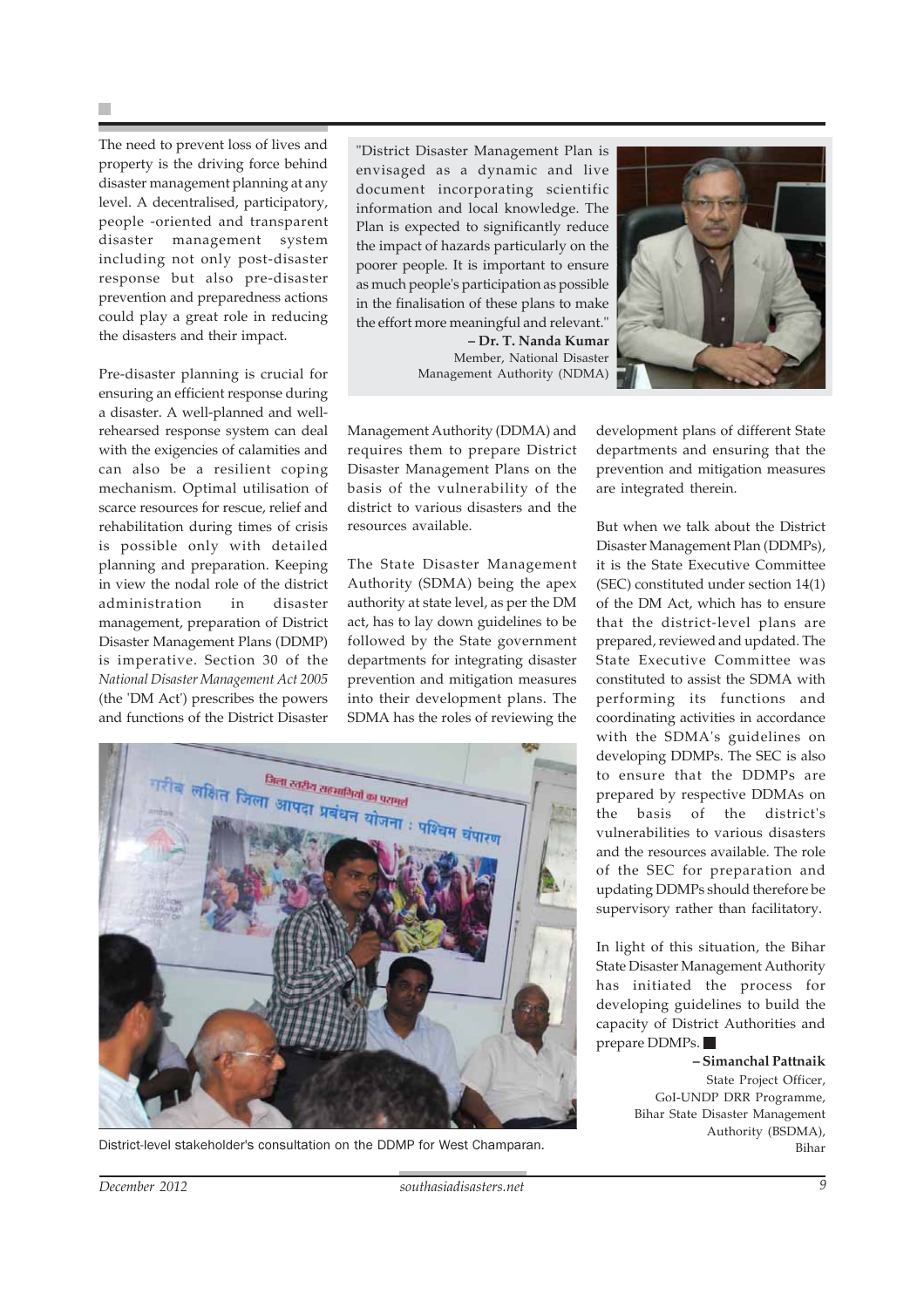The need to prevent loss of lives and property is the driving force behind disaster management planning at any level. A decentralised, participatory, people -oriented and transparent disaster management system including not only post-disaster response but also pre-disaster prevention and preparedness actions could play a great role in reducing the disasters and their impact.

Pre-disaster planning is crucial for ensuring an efficient response during a disaster. A well-planned and wellrehearsed response system can deal with the exigencies of calamities and can also be a resilient coping mechanism. Optimal utilisation of scarce resources for rescue, relief and rehabilitation during times of crisis is possible only with detailed planning and preparation. Keeping in view the nodal role of the district administration in disaster management, preparation of District Disaster Management Plans (DDMP) is imperative. Section 30 of the *National Disaster Management Act 2005* (the 'DM Act') prescribes the powers and functions of the District Disaster "District Disaster Management Plan is envisaged as a dynamic and live document incorporating scientific information and local knowledge. The Plan is expected to significantly reduce the impact of hazards particularly on the poorer people. It is important to ensure as much people's participation as possible in the finalisation of these plans to make the effort more meaningful and relevant." **– Dr. T. Nanda Kumar** Member, National Disaster

Management Authority (NDMA)



Management Authority (DDMA) and requires them to prepare District Disaster Management Plans on the basis of the vulnerability of the district to various disasters and the resources available.

The State Disaster Management Authority (SDMA) being the apex authority at state level, as per the DM act, has to lay down guidelines to be followed by the State government departments for integrating disaster prevention and mitigation measures into their development plans. The SDMA has the roles of reviewing the

development plans of different State departments and ensuring that the prevention and mitigation measures are integrated therein.

But when we talk about the District Disaster Management Plan (DDMPs), it is the State Executive Committee (SEC) constituted under section 14(1) of the DM Act, which has to ensure that the district-level plans are prepared, reviewed and updated. The State Executive Committee was constituted to assist the SDMA with performing its functions and coordinating activities in accordance with the SDMA's guidelines on developing DDMPs. The SEC is also to ensure that the DDMPs are prepared by respective DDMAs on the basis of the district's vulnerabilities to various disasters and the resources available. The role of the SEC for preparation and updating DDMPs should therefore be supervisory rather than facilitatory.

In light of this situation, the Bihar State Disaster Management Authority has initiated the process for developing guidelines to build the capacity of District Authorities and prepare DDMPs.

> **– Simanchal Pattnaik** State Project Officer, GoI-UNDP DRR Programme, Bihar State Disaster Management Authority (BSDMA),



District-level stakeholder's consultation on the DDMP for West Champaran. Bihar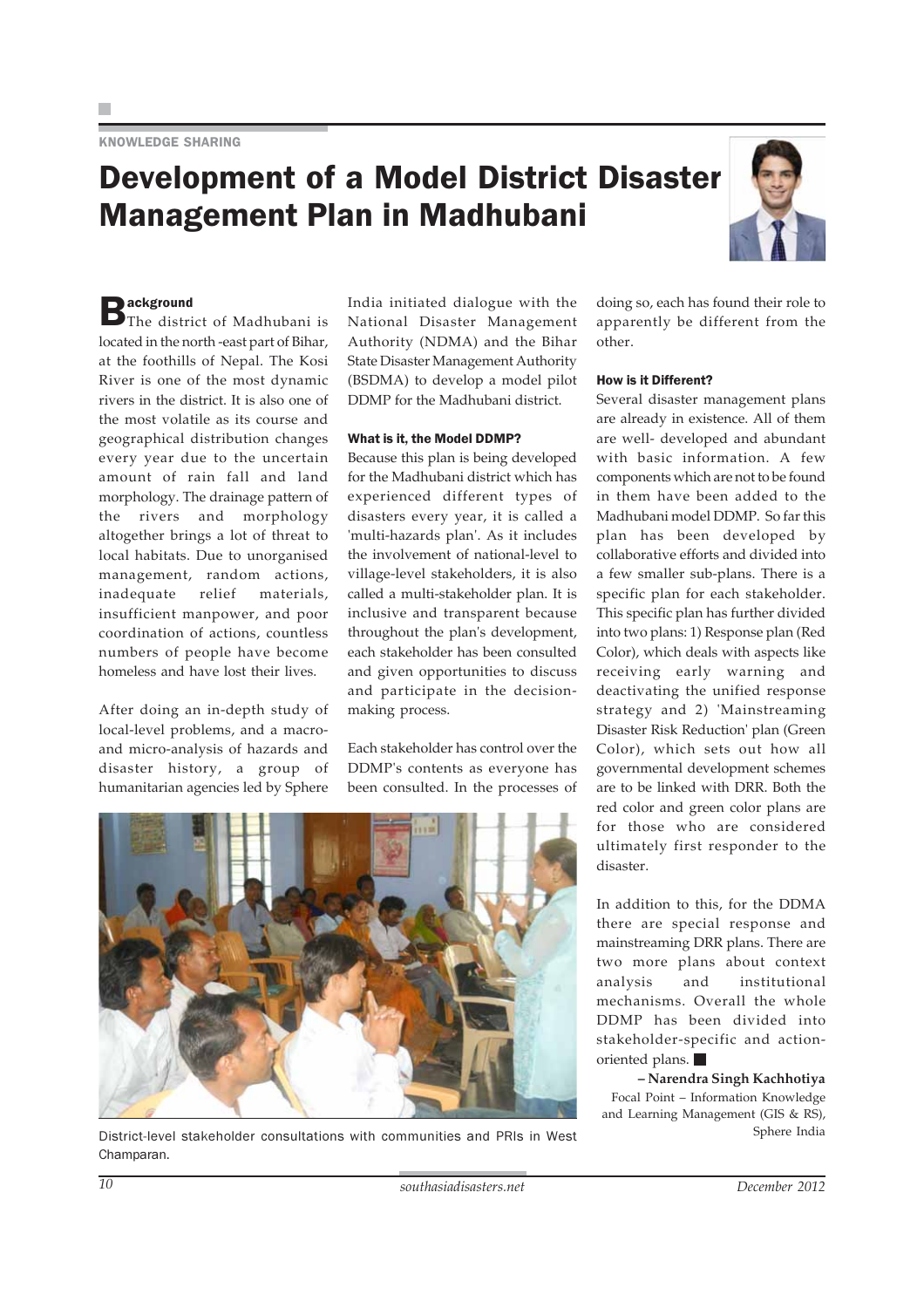### Development of a Model District Disaster Management Plan in Madhubani



 $B$ ackground<br>
The district of Madhubani is located in the north -east part of Bihar, at the foothills of Nepal. The Kosi River is one of the most dynamic rivers in the district. It is also one of the most volatile as its course and geographical distribution changes every year due to the uncertain amount of rain fall and land morphology. The drainage pattern of the rivers and morphology altogether brings a lot of threat to local habitats. Due to unorganised management, random actions, inadequate relief materials, insufficient manpower, and poor coordination of actions, countless numbers of people have become homeless and have lost their lives.

After doing an in-depth study of local-level problems, and a macroand micro-analysis of hazards and disaster history, a group of humanitarian agencies led by Sphere India initiated dialogue with the National Disaster Management Authority (NDMA) and the Bihar State Disaster Management Authority (BSDMA) to develop a model pilot DDMP for the Madhubani district.

#### What is it, the Model DDMP?

Because this plan is being developed for the Madhubani district which has experienced different types of disasters every year, it is called a 'multi-hazards plan'. As it includes the involvement of national-level to village-level stakeholders, it is also called a multi-stakeholder plan. It is inclusive and transparent because throughout the plan's development, each stakeholder has been consulted and given opportunities to discuss and participate in the decisionmaking process.

Each stakeholder has control over the DDMP's contents as everyone has been consulted. In the processes of



District-level stakeholder consultations with communities and PRIs in West Champaran.

doing so, each has found their role to apparently be different from the other.

#### How is it Different?

Several disaster management plans are already in existence. All of them are well- developed and abundant with basic information. A few components which are not to be found in them have been added to the Madhubani model DDMP. So far this plan has been developed by collaborative efforts and divided into a few smaller sub-plans. There is a specific plan for each stakeholder. This specific plan has further divided into two plans: 1) Response plan (Red Color), which deals with aspects like receiving early warning and deactivating the unified response strategy and 2) 'Mainstreaming Disaster Risk Reduction' plan (Green Color), which sets out how all governmental development schemes are to be linked with DRR. Both the red color and green color plans are for those who are considered ultimately first responder to the disaster.

In addition to this, for the DDMA there are special response and mainstreaming DRR plans. There are two more plans about context analysis and institutional mechanisms. Overall the whole DDMP has been divided into stakeholder-specific and actionoriented plans.

**– Narendra Singh Kachhotiya** Focal Point – Information Knowledge and Learning Management (GIS & RS), Sphere India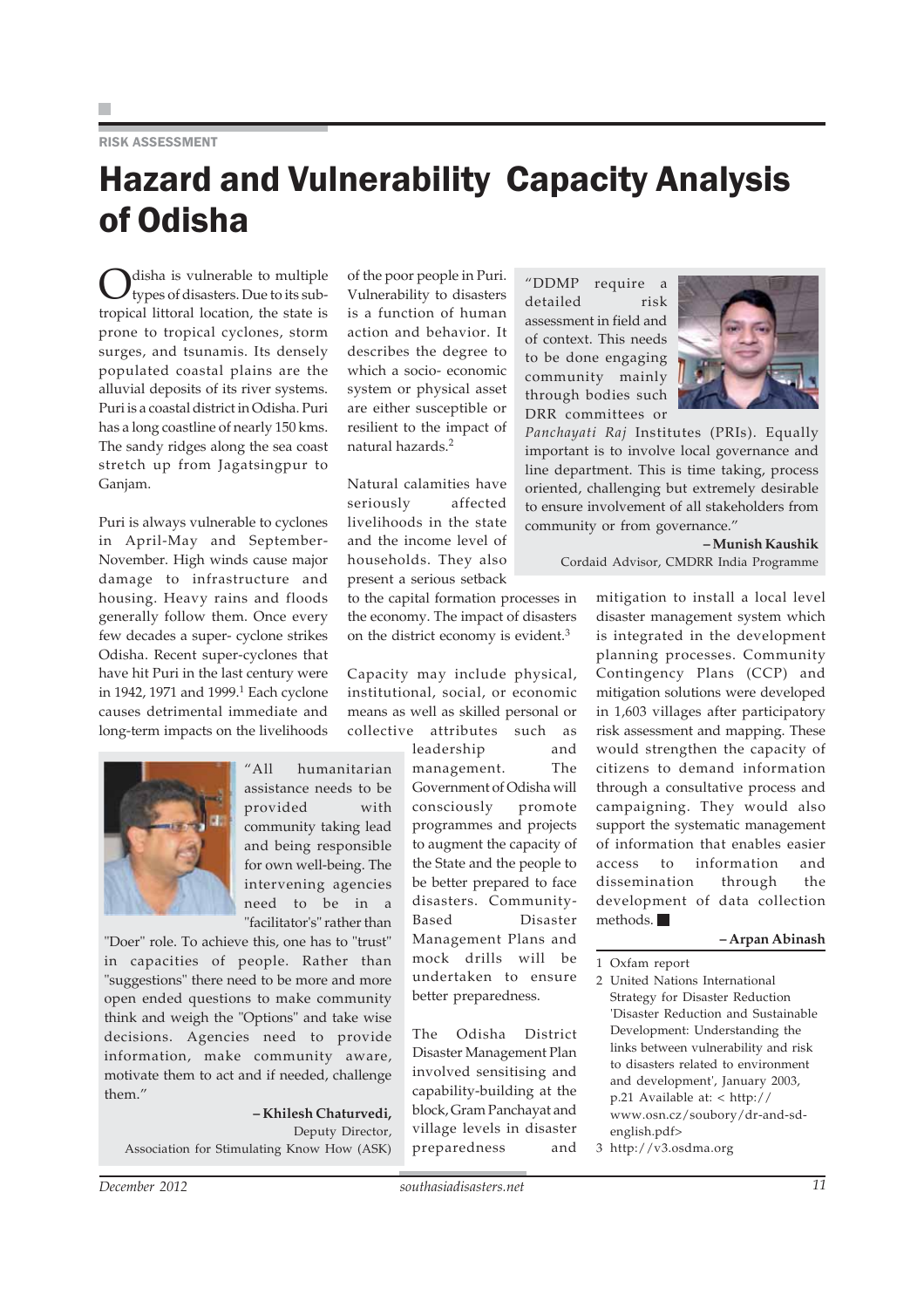#### RISK ASSESSMENT

### Hazard and Vulnerability Capacity Analysis of Odisha

disha is vulnerable to multiple types of disasters. Due to its subtropical littoral location, the state is prone to tropical cyclones, storm surges, and tsunamis. Its densely populated coastal plains are the alluvial deposits of its river systems. Puri is a coastal district in Odisha. Puri has a long coastline of nearly 150 kms. The sandy ridges along the sea coast stretch up from Jagatsingpur to Ganjam.

Puri is always vulnerable to cyclones in April-May and September-November. High winds cause major damage to infrastructure and housing. Heavy rains and floods generally follow them. Once every few decades a super- cyclone strikes Odisha. Recent super-cyclones that have hit Puri in the last century were in 1942, 1971 and 1999.<sup>1</sup> Each cyclone causes detrimental immediate and long-term impacts on the livelihoods



Natural calamities have seriously affected livelihoods in the state and the income level of households. They also present a serious setback

to the capital formation processes in the economy. The impact of disasters on the district economy is evident.<sup>3</sup>

Capacity may include physical, institutional, social, or economic means as well as skilled personal or collective attributes such as

> leadership and management. The Government of Odisha will consciously promote programmes and projects to augment the capacity of the State and the people to be better prepared to face disasters. Community-Based Disaster Management Plans and mock drills will be undertaken to ensure better preparedness.

The Odisha District Disaster Management Plan involved sensitising and capability-building at the block, Gram Panchayat and village levels in disaster preparedness and

"DDMP require a detailed risk assessment in field and of context. This needs to be done engaging community mainly through bodies such DRR committees or



*Panchayati Raj* Institutes (PRIs). Equally important is to involve local governance and line department. This is time taking, process oriented, challenging but extremely desirable to ensure involvement of all stakeholders from community or from governance."

**– Munish Kaushik**

Cordaid Advisor, CMDRR India Programme

mitigation to install a local level disaster management system which is integrated in the development planning processes. Community Contingency Plans (CCP) and mitigation solutions were developed in 1,603 villages after participatory risk assessment and mapping. These would strengthen the capacity of citizens to demand information through a consultative process and campaigning. They would also support the systematic management of information that enables easier access to information and dissemination through the development of data collection methods.

#### **– Arpan Abinash**

1 Oxfam report

2 United Nations International Strategy for Disaster Reduction 'Disaster Reduction and Sustainable Development: Understanding the links between vulnerability and risk to disasters related to environment and development', January 2003, p.21 Available at: < http:// www.osn.cz/soubory/dr-and-sdenglish.pdf>

3 http://v3.osdma.org

"All humanitarian assistance needs to be provided with community taking lead and being responsible for own well-being. The intervening agencies need to be in a "facilitator's" rather than

"Doer" role. To achieve this, one has to "trust" in capacities of people. Rather than "suggestions" there need to be more and more open ended questions to make community think and weigh the "Options" and take wise decisions. Agencies need to provide information, make community aware, motivate them to act and if needed, challenge them."

**– Khilesh Chaturvedi,** Deputy Director, Association for Stimulating Know How (ASK)